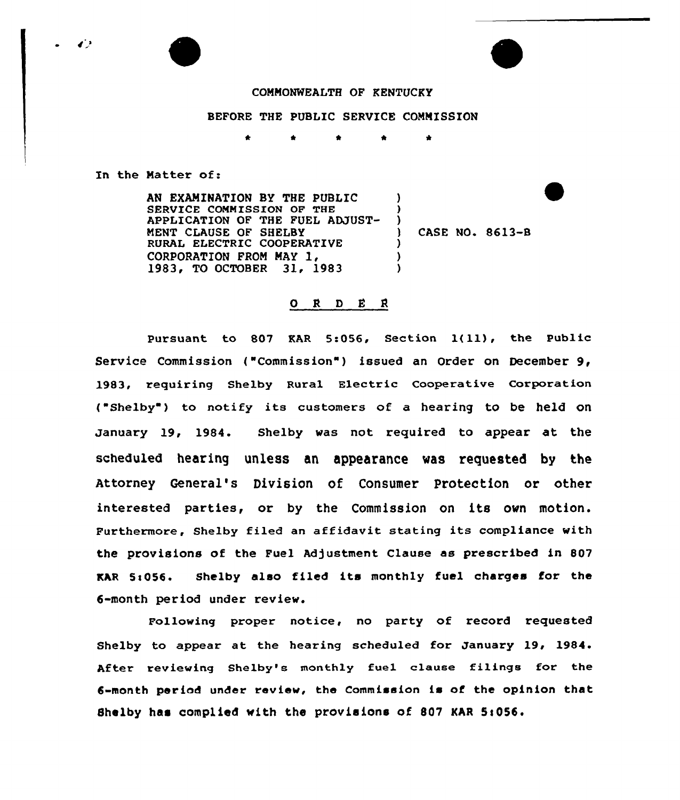## COMMONWEALTH OF KENTUCKY

## BEFORE THE PUBLIC SERVICE COMMISSION

 $\bullet$ 

In the Matter of:

AN EXAMINATION BY THE PUBLIC SERVICE COMMISSION OF THE APPLICATION OF THE FUEL ADJUST-MENT CIAUSE OF SHELBY RURAL ELECTRIC COOPERATIVE CORPORATION FROM MAY 1, 1983, TO OCTOBER 31, 1983 ) )  $\frac{1}{1}$ ) CASE NO. 8613-8  $\lambda$ ) )

## $ORD E R$

Pursuant to <sup>807</sup> EAR 5s056, Section l(ll), the public Service Commission ("Commission") issued an Order on December 9, 1983, requiring Shelby Rural Electric Cooperative Corporation ("Shelby") to notify its customers of a hearing to be held on January 19, 1984. Shelby was not required to appear at the scheduled hearing unless an appearance was requested by the Attorney General's Division of Consumer protection or other interested parties, or by the Commission on its own motion. Furthermore, Shelby filed an affidavit stating its compliance with the provisions of the Fuel Adjustment Clause as prescribed in 807 KAR 5:056. Shelby also filed its monthly fuel charges for the 6-month period under review.

Following proper notice, no party of record requested Shelby to appear at the hearing scheduled for January 19, 1984. After reviewing Shelby's monthly fuel clause filings for the 6-month period under review, the Commission is of the opinion that Shelby has complied with the provisions of 807 KAR 5:056.

 $\bullet$